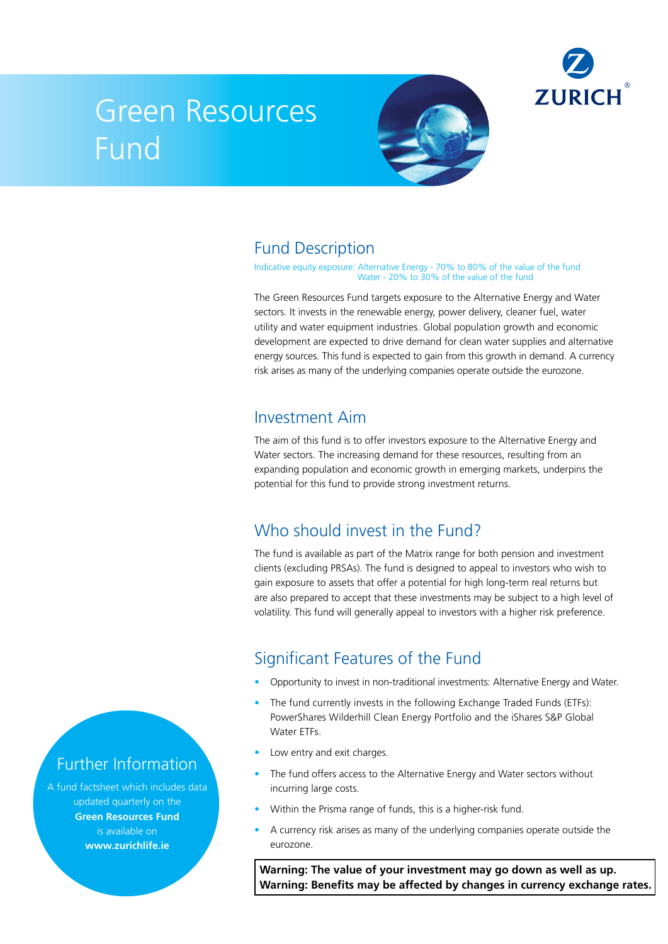

# Green Resources Fund



# Fund Description

Indicative equity exposure: Alternative Energy - 70% to 80% of the value of the fund Water - 20% to 30% of the value of the fund

The Green Resources Fund targets exposure to the Alternative Energy and Water sectors. It invests in the renewable energy, power delivery, cleaner fuel, water utility and water equipment industries. Global population growth and economic development are expected to drive demand for clean water supplies and alternative energy sources. This fund is expected to gain from this growth in demand. A currency risk arises as many of the underlying companies operate outside the eurozone.

#### Investment Aim

The aim of this fund is to offer investors exposure to the Alternative Energy and Water sectors. The increasing demand for these resources, resulting from an expanding population and economic growth in emerging markets, underpins the potential for this fund to provide strong investment returns.

# Who should invest in the Fund?

The fund is available as part of the Matrix range for both pension and investment clients (excluding PRSAs). The fund is designed to appeal to investors who wish to gain exposure to assets that offer a potential for high long-term real returns but are also prepared to accept that these investments may be subject to a high level of volatility. This fund will generally appeal to investors with a higher risk preference.

# Significant Features of the Fund

- Opportunity to invest in non-traditional investments: Alternative Energy and Water.
- The fund currently invests in the following Exchange Traded Funds (ETFs): PowerShares Wilderhill Clean Energy Portfolio and the iShares S&P Global Water ETFs.
- Low entry and exit charges.
- The fund offers access to the Alternative Energy and Water sectors without incurring large costs.
- Within the Prisma range of funds, this is a higher-risk fund.
- A currency risk arises as many of the underlying companies operate outside the eurozone.

**Warning: The value of your investment may go down as well as up. Warning: Benefits may be affected by changes in currency exchange rates.**

#### Further Information

A fund factsheet which includes data updated quarterly on the **Green Resources Fund** is available on **www.zurichlife.ie**